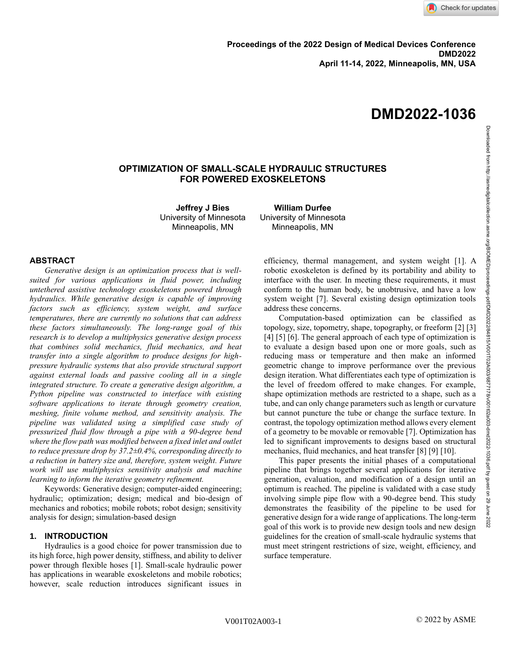# **OPTIMIZATION OF SMALL-SCALE HYDRAULIC STRUCTURES FOR POWERED EXOSKELETONS**

**Jeffrey J Bies** University of Minnesota Minneapolis, MN

**William Durfee** University of Minnesota Minneapolis, MN

## **ABSTRACT**

*Generative design is an optimization process that is wellsuited for various applications in fluid power, including untethered assistive technology exoskeletons powered through hydraulics. While generative design is capable of improving factors such as efficiency, system weight, and surface temperatures, there are currently no solutions that can address these factors simultaneously. The long-range goal of this research is to develop a multiphysics generative design process that combines solid mechanics, fluid mechanics, and heat transfer into a single algorithm to produce designs for highpressure hydraulic systems that also provide structural support against external loads and passive cooling all in a single integrated structure. To create a generative design algorithm, a Python pipeline was constructed to interface with existing software applications to iterate through geometry creation, meshing, finite volume method, and sensitivity analysis. The pipeline was validated using a simplified case study of pressurized fluid flow through a pipe with a 90-degree bend where the flow path was modified between a fixed inlet and outlet to reduce pressure drop by 37.2±0.4%, corresponding directly to a reduction in battery size and, therefore, system weight. Future work will use multiphysics sensitivity analysis and machine learning to inform the iterative geometry refinement.*

Keywords: Generative design; computer-aided engineering; hydraulic; optimization; design; medical and bio-design of mechanics and robotics; mobile robots; robot design; sensitivity analysis for design; simulation-based design

### **1. INTRODUCTION**

Hydraulics is a good choice for power transmission due to its high force, high power density, stiffness, and ability to deliver power through flexible hoses [1]. Small-scale hydraulic power has applications in wearable exoskeletons and mobile robotics; however, scale reduction introduces significant issues in efficiency, thermal management, and system weight [1]. A robotic exoskeleton is defined by its portability and ability to interface with the user. In meeting these requirements, it must conform to the human body, be unobtrusive, and have a low system weight [7]. Several existing design optimization tools address these concerns.

Computation-based optimization can be classified as topology, size, topometry, shape, topography, or freeform [2] [3] [4] [5] [6]. The general approach of each type of optimization is to evaluate a design based upon one or more goals, such as reducing mass or temperature and then make an informed geometric change to improve performance over the previous design iteration. What differentiates each type of optimization is the level of freedom offered to make changes. For example, shape optimization methods are restricted to a shape, such as a tube, and can only change parameters such as length or curvature but cannot puncture the tube or change the surface texture. In contrast, the topology optimization method allows every element of a geometry to be movable or removable [7]. Optimization has led to significant improvements to designs based on structural mechanics, fluid mechanics, and heat transfer [8] [9] [10].

This paper presents the initial phases of a computational pipeline that brings together several applications for iterative generation, evaluation, and modification of a design until an optimum is reached. The pipeline is validated with a case study involving simple pipe flow with a 90-degree bend. This study demonstrates the feasibility of the pipeline to be used for generative design for a wide range of applications. The long-term goal of this work is to provide new design tools and new design guidelines for the creation of small-scale hydraulic systems that must meet stringent restrictions of size, weight, efficiency, and surface temperature.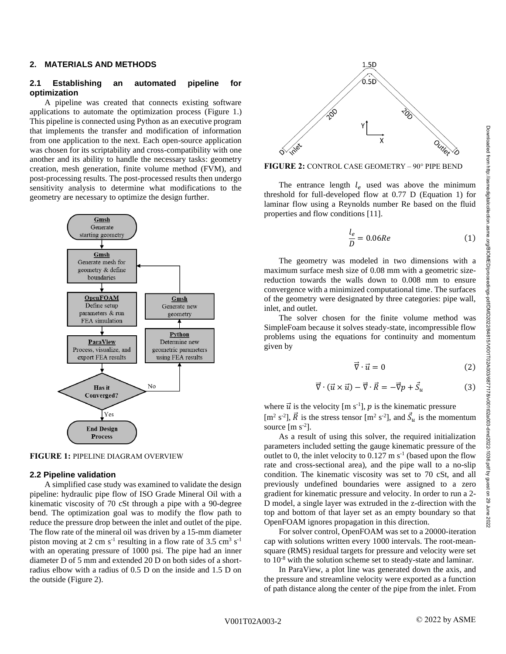#### **2. MATERIALS AND METHODS**

#### **2.1 Establishing an automated pipeline for optimization**

A pipeline was created that connects existing software applications to automate the optimization process (Figure 1.) This pipeline is connected using Python as an executive program that implements the transfer and modification of information from one application to the next. Each open-source application was chosen for its scriptability and cross-compatibility with one another and its ability to handle the necessary tasks: geometry creation, mesh generation, finite volume method (FVM), and post-processing results. The post-processed results then undergo sensitivity analysis to determine what modifications to the geometry are necessary to optimize the design further.





#### **2.2 Pipeline validation**

A simplified case study was examined to validate the design pipeline: hydraulic pipe flow of ISO Grade Mineral Oil with a kinematic viscosity of 70 cSt through a pipe with a 90-degree bend. The optimization goal was to modify the flow path to reduce the pressure drop between the inlet and outlet of the pipe. The flow rate of the mineral oil was driven by a 15-mm diameter piston moving at 2 cm  $s^{-1}$  resulting in a flow rate of 3.5 cm<sup>3</sup>  $s^{-1}$ with an operating pressure of 1000 psi. The pipe had an inner diameter D of 5 mm and extended 20 D on both sides of a shortradius elbow with a radius of 0.5 D on the inside and 1.5 D on the outside (Figure 2).



**FIGURE 2:** CONTROL CASE GEOMETRY – 90° PIPE BEND

The entrance length  $l_e$  used was above the minimum threshold for full-developed flow at 0.77 D (Equation 1) for laminar flow using a Reynolds number Re based on the fluid properties and flow conditions [11].

$$
\frac{l_e}{D} = 0.06Re\tag{1}
$$

The geometry was modeled in two dimensions with a maximum surface mesh size of 0.08 mm with a geometric sizereduction towards the walls down to 0.008 mm to ensure convergence with a minimized computational time. The surfaces of the geometry were designated by three categories: pipe wall, inlet, and outlet.

The solver chosen for the finite volume method was SimpleFoam because it solves steady-state, incompressible flow problems using the equations for continuity and momentum given by

$$
\vec{\nabla} \cdot \vec{u} = 0 \tag{2}
$$

$$
\vec{\nabla} \cdot (\vec{u} \times \vec{u}) - \vec{\nabla} \cdot \vec{R} = -\vec{\nabla} p + \vec{S}_u \tag{3}
$$

where  $\vec{u}$  is the velocity [m s<sup>-1</sup>], p is the kinematic pressure [m<sup>2</sup> s<sup>-2</sup>],  $\vec{R}$  is the stress tensor [m<sup>2</sup> s<sup>-2</sup>], and  $\vec{S}_u$  is the momentum source  $[m s<sup>-2</sup>]$ .

As a result of using this solver, the required initialization parameters included setting the gauge kinematic pressure of the outlet to 0, the inlet velocity to  $0.127 \text{ m s}^{-1}$  (based upon the flow rate and cross-sectional area), and the pipe wall to a no-slip condition. The kinematic viscosity was set to 70 cSt, and all previously undefined boundaries were assigned to a zero gradient for kinematic pressure and velocity. In order to run a 2- D model, a single layer was extruded in the z-direction with the top and bottom of that layer set as an empty boundary so that OpenFOAM ignores propagation in this direction.

For solver control, OpenFOAM was set to a 20000-iteration cap with solutions written every 1000 intervals. The root-meansquare (RMS) residual targets for pressure and velocity were set to 10-8 with the solution scheme set to steady-state and laminar.

In ParaView, a plot line was generated down the axis, and the pressure and streamline velocity were exported as a function of path distance along the center of the pipe from the inlet. From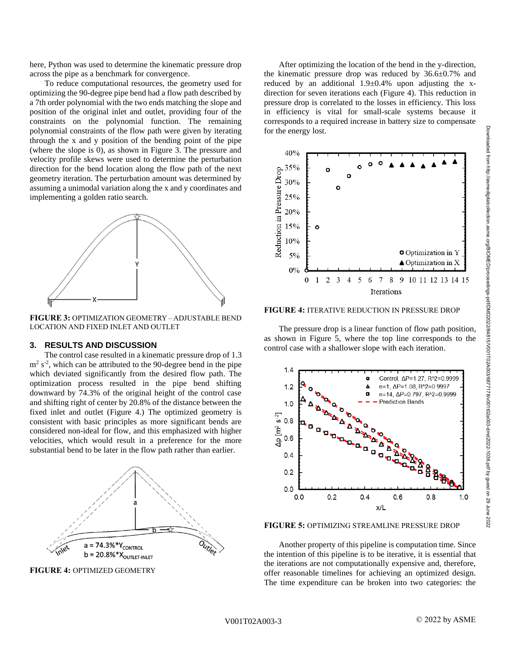here, Python was used to determine the kinematic pressure drop across the pipe as a benchmark for convergence.

To reduce computational resources, the geometry used for optimizing the 90-degree pipe bend had a flow path described by a 7th order polynomial with the two ends matching the slope and position of the original inlet and outlet, providing four of the constraints on the polynomial function. The remaining polynomial constraints of the flow path were given by iterating through the x and y position of the bending point of the pipe (where the slope is 0), as shown in Figure 3. The pressure and velocity profile skews were used to determine the perturbation direction for the bend location along the flow path of the next geometry iteration. The perturbation amount was determined by assuming a unimodal variation along the x and y coordinates and implementing a golden ratio search.



**FIGURE 3:** OPTIMIZATION GEOMETRY – ADJUSTABLE BEND LOCATION AND FIXED INLET AND OUTLET

# **3. RESULTS AND DISCUSSION**

The control case resulted in a kinematic pressure drop of 1.3  $m<sup>2</sup>$  s<sup>-2</sup>, which can be attributed to the 90-degree bend in the pipe which deviated significantly from the desired flow path. The optimization process resulted in the pipe bend shifting downward by 74.3% of the original height of the control case and shifting right of center by 20.8% of the distance between the fixed inlet and outlet (Figure 4.) The optimized geometry is consistent with basic principles as more significant bends are considered non-ideal for flow, and this emphasized with higher velocities, which would result in a preference for the more substantial bend to be later in the flow path rather than earlier.



**FIGURE 4:** OPTIMIZED GEOMETRY

After optimizing the location of the bend in the y-direction, the kinematic pressure drop was reduced by 36.6±0.7% and reduced by an additional  $1.9\pm0.4\%$  upon adjusting the xdirection for seven iterations each (Figure 4). This reduction in pressure drop is correlated to the losses in efficiency. This loss in efficiency is vital for small-scale systems because it corresponds to a required increase in battery size to compensate for the energy lost.



**FIGURE 4:** ITERATIVE REDUCTION IN PRESSURE DROP

The pressure drop is a linear function of flow path position, as shown in Figure 5, where the top line corresponds to the control case with a shallower slope with each iteration.



**FIGURE 5:** OPTIMIZING STREAMLINE PRESSURE DROP

Another property of this pipeline is computation time. Since the intention of this pipeline is to be iterative, it is essential that the iterations are not computationally expensive and, therefore, offer reasonable timelines for achieving an optimized design. The time expenditure can be broken into two categories: the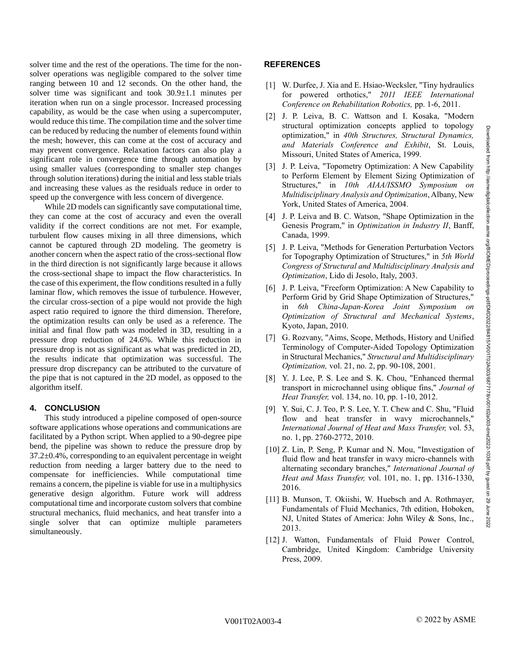solver time and the rest of the operations. The time for the nonsolver operations was negligible compared to the solver time ranging between 10 and 12 seconds. On the other hand, the solver time was significant and took 30.9±1.1 minutes per iteration when run on a single processor. Increased processing capability, as would be the case when using a supercomputer, would reduce this time. The compilation time and the solver time can be reduced by reducing the number of elements found within the mesh; however, this can come at the cost of accuracy and may prevent convergence. Relaxation factors can also play a significant role in convergence time through automation by using smaller values (corresponding to smaller step changes through solution iterations) during the initial and less stable trials and increasing these values as the residuals reduce in order to speed up the convergence with less concern of divergence.

While 2D models can significantly save computational time, they can come at the cost of accuracy and even the overall validity if the correct conditions are not met. For example, turbulent flow causes mixing in all three dimensions, which cannot be captured through 2D modeling. The geometry is another concern when the aspect ratio of the cross-sectional flow in the third direction is not significantly large because it allows the cross-sectional shape to impact the flow characteristics. In the case of this experiment, the flow conditions resulted in a fully laminar flow, which removes the issue of turbulence. However, the circular cross-section of a pipe would not provide the high aspect ratio required to ignore the third dimension. Therefore, the optimization results can only be used as a reference. The initial and final flow path was modeled in 3D, resulting in a pressure drop reduction of 24.6%. While this reduction in pressure drop is not as significant as what was predicted in 2D, the results indicate that optimization was successful. The pressure drop discrepancy can be attributed to the curvature of the pipe that is not captured in the 2D model, as opposed to the algorithm itself.

## **4. CONCLUSION**

This study introduced a pipeline composed of open-source software applications whose operations and communications are facilitated by a Python script. When applied to a 90-degree pipe bend, the pipeline was shown to reduce the pressure drop by  $37.2\pm0.4\%$ , corresponding to an equivalent percentage in weight reduction from needing a larger battery due to the need to compensate for inefficiencies. While computational time remains a concern, the pipeline is viable for use in a multiphysics generative design algorithm. Future work will address computational time and incorporate custom solvers that combine structural mechanics, fluid mechanics, and heat transfer into a single solver that can optimize multiple parameters simultaneously.

### **REFERENCES**

- [1] W. Durfee, J. Xia and E. Hsiao-Wecksler, "Tiny hydraulics" for powered orthotics," *2011 IEEE International Conference on Rehabilitation Robotics,* pp. 1-6, 2011.
- [2] J. P. Leiva, B. C. Wattson and I. Kosaka, "Modern structural optimization concepts applied to topology optimization," in *40th Structures, Structural Dynamics, and Materials Conference and Exhibit*, St. Louis, Missouri, United States of America, 1999.
- [3] J. P. Leiva, "Topometry Optimization: A New Capability to Perform Element by Element Sizing Optimization of Structures," in *10th AIAA/ISSMO Symposium on Multidisciplinary Analysis and Optimization*, Albany, New York, United States of America, 2004.
- [4] J. P. Leiva and B. C. Watson, "Shape Optimization in the Genesis Program," in *Optimization in Industry II*, Banff, Canada, 1999.
- [5] J. P. Leiva, "Methods for Generation Perturbation Vectors for Topography Optimization of Structures," in *5th World Congress of Structural and Multidisciplinary Analysis and Optimization*, Lido di Jesolo, Italy, 2003.
- [6] J. P. Leiva, "Freeform Optimization: A New Capability to Perform Grid by Grid Shape Optimization of Structures," in *6th China-Japan-Korea Joint Symposium on Optimization of Structural and Mechanical Systems*, Kyoto, Japan, 2010.
- [7] G. Rozvany, "Aims, Scope, Methods, History and Unified Terminology of Computer-Aided Topology Optimization in Structural Mechanics," *Structural and Multidisciplinary Optimization,* vol. 21, no. 2, pp. 90-108, 2001.
- [8] Y. J. Lee, P. S. Lee and S. K. Chou, "Enhanced thermal transport in microchannel using oblique fins," *Journal of Heat Transfer,* vol. 134, no. 10, pp. 1-10, 2012.
- [9] Y. Sui, C. J. Teo, P. S. Lee, Y. T. Chew and C. Shu, "Fluid flow and heat transfer in wavy microchannels," *International Journal of Heat and Mass Transfer,* vol. 53, no. 1, pp. 2760-2772, 2010.
- [10] Z. Lin, P. Seng, P. Kumar and N. Mou, "Investigation of fluid flow and heat transfer in wavy micro-channels with alternating secondary branches," *International Journal of Heat and Mass Transfer,* vol. 101, no. 1, pp. 1316-1330, 2016.
- [11] B. Munson, T. Okiishi, W. Huebsch and A. Rothmayer, Fundamentals of Fluid Mechanics, 7th edition, Hoboken, NJ, United States of America: John Wiley & Sons, Inc., 2013.
- [12] J. Watton, Fundamentals of Fluid Power Control, Cambridge, United Kingdom: Cambridge University Press, 2009.